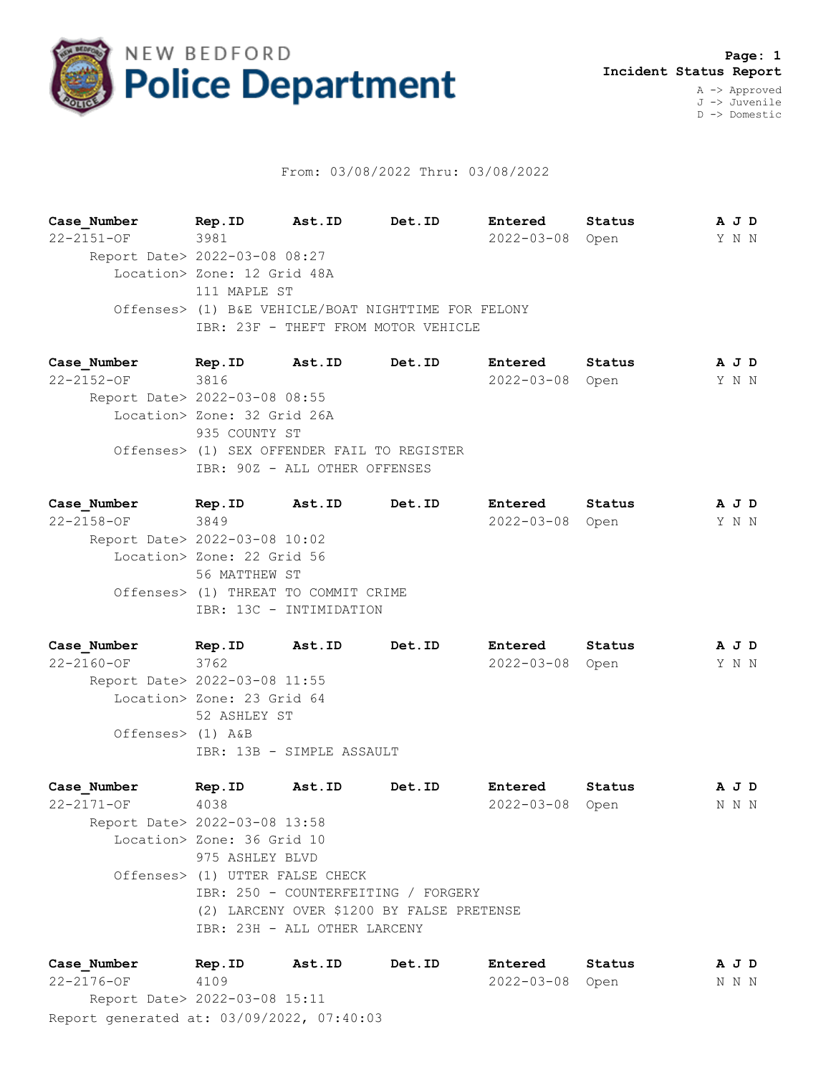

## From: 03/08/2022 Thru: 03/08/2022

**Case\_Number Rep.ID Ast.ID Det.ID Entered Status A J D** 22-2151-OF 3981 2022-03-08 Open Y N N Report Date> 2022-03-08 08:27 Location> Zone: 12 Grid 48A 111 MAPLE ST Offenses> (1) B&E VEHICLE/BOAT NIGHTTIME FOR FELONY IBR: 23F - THEFT FROM MOTOR VEHICLE

**Case\_Number Rep.ID Ast.ID Det.ID Entered Status A J D** 22-2152-OF 3816 2022-03-08 Open Y N N Report Date> 2022-03-08 08:55 Location> Zone: 32 Grid 26A 935 COUNTY ST Offenses> (1) SEX OFFENDER FAIL TO REGISTER IBR: 90Z - ALL OTHER OFFENSES

| Case Number                   | Rep.ID                               | Ast.ID                  | Det.ID | Entered         | Status | A J D |  |
|-------------------------------|--------------------------------------|-------------------------|--------|-----------------|--------|-------|--|
| $22 - 2158 - OF$              | 3849                                 |                         |        | 2022-03-08 Open |        | Y N N |  |
| Report Date> 2022-03-08 10:02 |                                      |                         |        |                 |        |       |  |
|                               | Location> Zone: 22 Grid 56           |                         |        |                 |        |       |  |
|                               | 56 MATTHEW ST                        |                         |        |                 |        |       |  |
|                               | Offenses> (1) THREAT TO COMMIT CRIME |                         |        |                 |        |       |  |
|                               |                                      | IBR: 13C - INTIMIDATION |        |                 |        |       |  |
|                               |                                      |                         |        |                 |        |       |  |

**Case\_Number Rep.ID Ast.ID Det.ID Entered Status A J D** 22-2160-OF 3762 2022-03-08 Open Y N N Report Date> 2022-03-08 11:55 Location> Zone: 23 Grid 64 52 ASHLEY ST Offenses> (1) A&B IBR: 13B - SIMPLE ASSAULT

**Case\_Number Rep.ID Ast.ID Det.ID Entered Status A J D** 22-2171-OF 4038 2022-03-08 Open N N N Report Date> 2022-03-08 13:58 Location> Zone: 36 Grid 10 975 ASHLEY BLVD Offenses> (1) UTTER FALSE CHECK IBR: 250 - COUNTERFEITING / FORGERY (2) LARCENY OVER \$1200 BY FALSE PRETENSE IBR: 23H - ALL OTHER LARCENY

Report generated at: 03/09/2022, 07:40:03 **Case\_Number Rep.ID Ast.ID Det.ID Entered Status A J D** 22-2176-OF 4109 2022-03-08 Open N N N Report Date> 2022-03-08 15:11